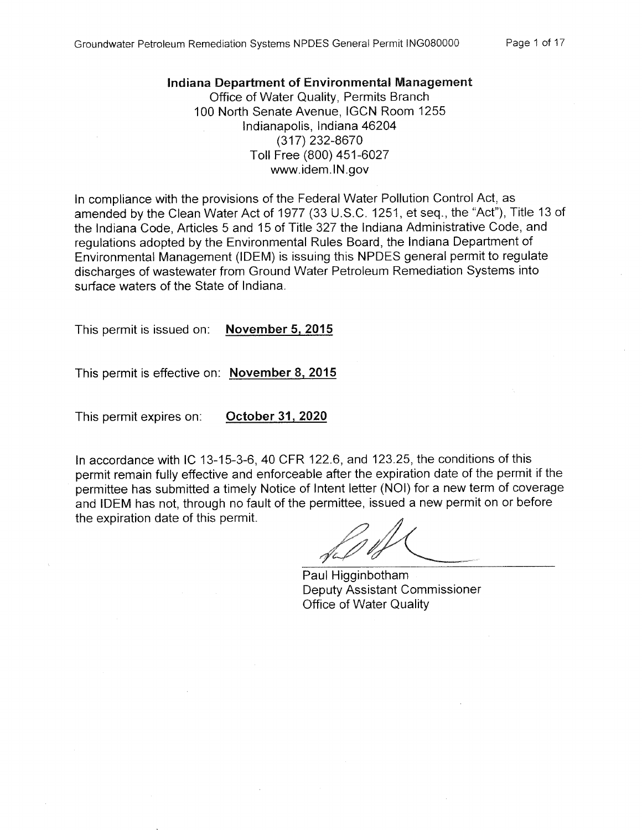#### Indiana Department of Environmental Management

Office of Water Quality, Permits Branch 100 North Senate Avenue, IGCN Room 1255 Indianapolis, Indiana 46204 (317) 232-8670 Toll Free (800) 451-6027 www.idem.IN.gov

In compliance with the provisions of the Federal Water Pollution Control Act, as amended by the Clean Water Act of 1977 (33 U.S.C. 1251, et seq., the "Act"), Title 13 of the Indiana Code, Articles 5 and 15 of Title 327 the Indiana Administrative Code, and regulations adopted by the Environmental Rules Board, the Indiana Department of Environmental Management (IDEM) is issuing this NPDES general permit to regulate discharges of wastewater from Ground Water Petroleum Remediation Systems into surface waters of the State of Indiana.

**November 5, 2015** This permit is issued on:

This permit is effective on: November 8, 2015

This permit expires on: October 31, 2020

In accordance with IC 13-15-3-6, 40 CFR 122.6, and 123.25, the conditions of this permit remain fully effective and enforceable after the expiration date of the permit if the permittee has submitted a timely Notice of Intent letter (NOI) for a new term of coverage and IDEM has not, through no fault of the permittee, issued a new permit on or before the expiration date of this permit.

Paul Higginbotham **Deputy Assistant Commissioner** Office of Water Quality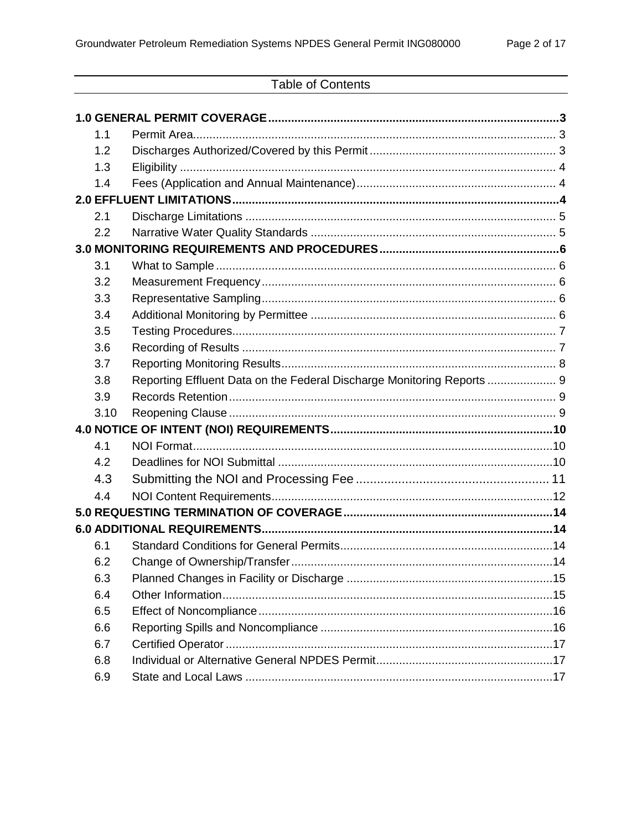# **Table of Contents**

| 1.1        |                                                                        |  |
|------------|------------------------------------------------------------------------|--|
| 1.2        |                                                                        |  |
| 1.3        |                                                                        |  |
| 1.4        |                                                                        |  |
|            |                                                                        |  |
| 2.1        |                                                                        |  |
| 2.2        |                                                                        |  |
|            |                                                                        |  |
| 3.1        |                                                                        |  |
| 3.2        |                                                                        |  |
| 3.3        |                                                                        |  |
| 3.4        |                                                                        |  |
| 3.5        |                                                                        |  |
| 3.6        |                                                                        |  |
| 3.7        |                                                                        |  |
| 3.8        | Reporting Effluent Data on the Federal Discharge Monitoring Reports  9 |  |
| 3.9        |                                                                        |  |
|            |                                                                        |  |
| 3.10       |                                                                        |  |
|            |                                                                        |  |
| 4.1        |                                                                        |  |
| 4.2        |                                                                        |  |
| 4.3        |                                                                        |  |
| 4.4        |                                                                        |  |
|            |                                                                        |  |
|            |                                                                        |  |
| 6.1        |                                                                        |  |
| 6.2        |                                                                        |  |
| 6.3        |                                                                        |  |
| 6.4        |                                                                        |  |
| 6.5        |                                                                        |  |
| 6.6        |                                                                        |  |
| 6.7        |                                                                        |  |
| 6.8<br>6.9 |                                                                        |  |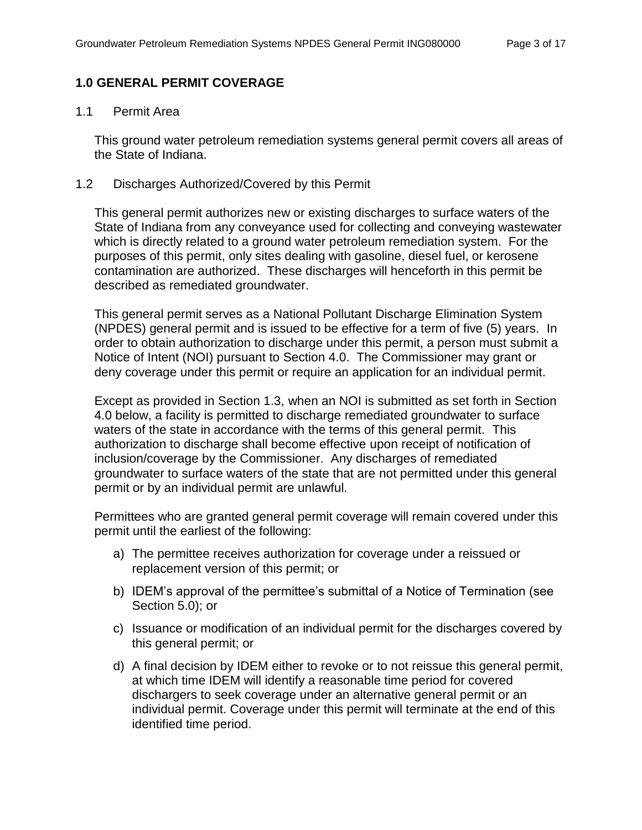# <span id="page-2-0"></span>**1.0 GENERAL PERMIT COVERAGE**

#### <span id="page-2-1"></span>1.1 Permit Area

This ground water petroleum remediation systems general permit covers all areas of the State of Indiana.

## <span id="page-2-2"></span>1.2 Discharges Authorized/Covered by this Permit

This general permit authorizes new or existing discharges to surface waters of the State of Indiana from any conveyance used for collecting and conveying wastewater which is directly related to a ground water petroleum remediation system. For the purposes of this permit, only sites dealing with gasoline, diesel fuel, or kerosene contamination are authorized. These discharges will henceforth in this permit be described as remediated groundwater.

This general permit serves as a National Pollutant Discharge Elimination System (NPDES) general permit and is issued to be effective for a term of five (5) years. In order to obtain authorization to discharge under this permit, a person must submit a Notice of Intent (NOI) pursuant to Section 4.0. The Commissioner may grant or deny coverage under this permit or require an application for an individual permit.

Except as provided in Section 1.3, when an NOI is submitted as set forth in Section 4.0 below, a facility is permitted to discharge remediated groundwater to surface waters of the state in accordance with the terms of this general permit. This authorization to discharge shall become effective upon receipt of notification of inclusion/coverage by the Commissioner. Any discharges of remediated groundwater to surface waters of the state that are not permitted under this general permit or by an individual permit are unlawful.

Permittees who are granted general permit coverage will remain covered under this permit until the earliest of the following:

- a) The permittee receives authorization for coverage under a reissued or replacement version of this permit; or
- b) IDEM's approval of the permittee's submittal of a Notice of Termination (see Section 5.0); or
- c) Issuance or modification of an individual permit for the discharges covered by this general permit; or
- d) A final decision by IDEM either to revoke or to not reissue this general permit, at which time IDEM will identify a reasonable time period for covered dischargers to seek coverage under an alternative general permit or an individual permit. Coverage under this permit will terminate at the end of this identified time period.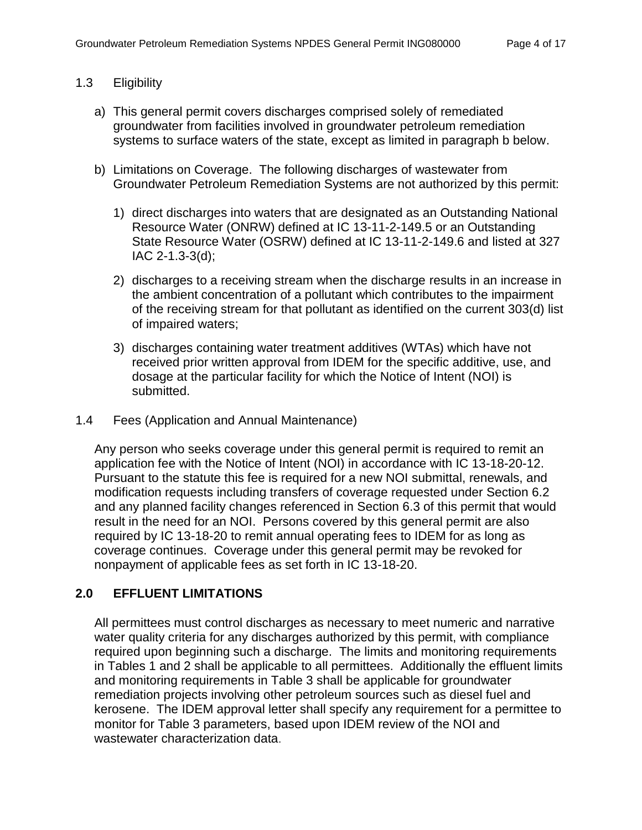## <span id="page-3-0"></span>1.3 Eligibility

- a) This general permit covers discharges comprised solely of remediated groundwater from facilities involved in groundwater petroleum remediation systems to surface waters of the state, except as limited in paragraph b below.
- b) Limitations on Coverage. The following discharges of wastewater from Groundwater Petroleum Remediation Systems are not authorized by this permit:
	- 1) direct discharges into waters that are designated as an Outstanding National Resource Water (ONRW) defined at IC 13-11-2-149.5 or an Outstanding State Resource Water (OSRW) defined at IC 13-11-2-149.6 and listed at 327 IAC 2-1.3-3(d);
	- 2) discharges to a receiving stream when the discharge results in an increase in the ambient concentration of a pollutant which contributes to the impairment of the receiving stream for that pollutant as identified on the current 303(d) list of impaired waters;
	- 3) discharges containing water treatment additives (WTAs) which have not received prior written approval from IDEM for the specific additive, use, and dosage at the particular facility for which the Notice of Intent (NOI) is submitted.
- <span id="page-3-1"></span>1.4 Fees (Application and Annual Maintenance)

Any person who seeks coverage under this general permit is required to remit an application fee with the Notice of Intent (NOI) in accordance with IC 13-18-20-12. Pursuant to the statute this fee is required for a new NOI submittal, renewals, and modification requests including transfers of coverage requested under Section 6.2 and any planned facility changes referenced in Section 6.3 of this permit that would result in the need for an NOI. Persons covered by this general permit are also required by IC 13-18-20 to remit annual operating fees to IDEM for as long as coverage continues. Coverage under this general permit may be revoked for nonpayment of applicable fees as set forth in IC 13-18-20.

# <span id="page-3-2"></span>**2.0 EFFLUENT LIMITATIONS**

All permittees must control discharges as necessary to meet numeric and narrative water quality criteria for any discharges authorized by this permit, with compliance required upon beginning such a discharge. The limits and monitoring requirements in Tables 1 and 2 shall be applicable to all permittees. Additionally the effluent limits and monitoring requirements in Table 3 shall be applicable for groundwater remediation projects involving other petroleum sources such as diesel fuel and kerosene. The IDEM approval letter shall specify any requirement for a permittee to monitor for Table 3 parameters, based upon IDEM review of the NOI and wastewater characterization data.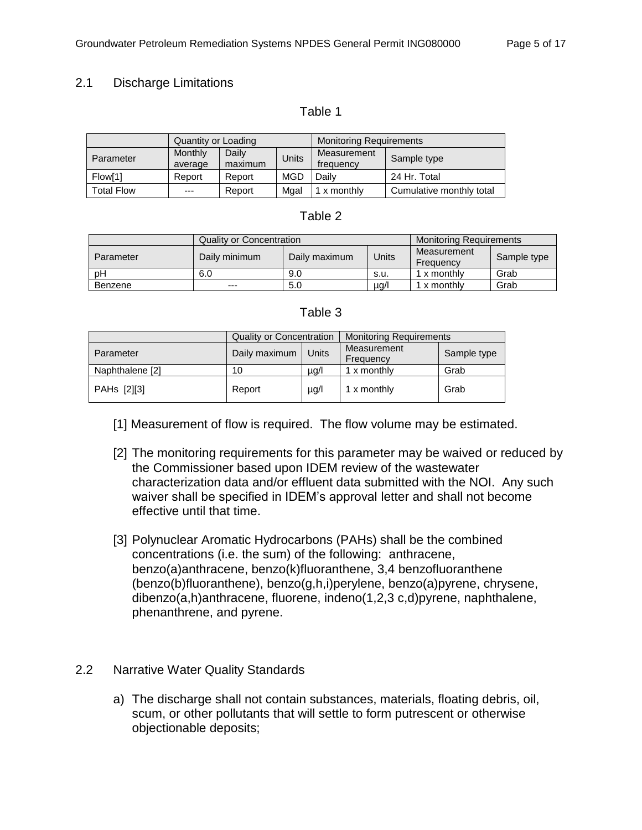## <span id="page-4-0"></span>2.1 Discharge Limitations

#### Table 1

|                   | Quantity or Loading |                  | <b>Monitoring Requirements</b> |                          |                          |
|-------------------|---------------------|------------------|--------------------------------|--------------------------|--------------------------|
| Parameter         | Monthly<br>average  | Daily<br>maximum | <b>Units</b>                   | Measurement<br>frequency | Sample type              |
| Flow[1]           | Report              | Report           | MGD                            | Daily                    | 24 Hr. Total             |
| <b>Total Flow</b> | $---$               | Report           | Mgal                           | x monthly                | Cumulative monthly total |

#### Table 2

|           | <b>Quality or Concentration</b> |               |           | <b>Monitoring Requirements</b> |             |
|-----------|---------------------------------|---------------|-----------|--------------------------------|-------------|
| Parameter | Daily minimum                   | Daily maximum | Units     | Measurement<br>Frequency       | Sample type |
| рH        | 6.0                             | 9.0           | s.u.      | 1 x monthly                    | Grab        |
| Benzene   | $---$                           | 5.0           | $\mu q/l$ | x monthly                      | Grab        |

#### Table 3

|                 | <b>Quality or Concentration</b> |           | <b>Monitoring Requirements</b> |             |
|-----------------|---------------------------------|-----------|--------------------------------|-------------|
| Parameter       | Daily maximum                   | Units     | Measurement<br>Frequency       | Sample type |
| Naphthalene [2] | 10                              | $\mu$ g/l | 1 x monthly                    | Grab        |
| PAHs [2][3]     | Report                          | $\mu$ g/l | 1 x monthly                    | Grab        |

[1] Measurement of flow is required. The flow volume may be estimated.

- [2] The monitoring requirements for this parameter may be waived or reduced by the Commissioner based upon IDEM review of the wastewater characterization data and/or effluent data submitted with the NOI. Any such waiver shall be specified in IDEM's approval letter and shall not become effective until that time.
- [3] Polynuclear Aromatic Hydrocarbons (PAHs) shall be the combined concentrations (i.e. the sum) of the following: anthracene, benzo(a)anthracene, benzo(k)fluoranthene, 3,4 benzofluoranthene (benzo(b)fluoranthene), benzo(g,h,i)perylene, benzo(a)pyrene, chrysene, dibenzo(a,h)anthracene, fluorene, indeno(1,2,3 c,d)pyrene, naphthalene, phenanthrene, and pyrene.
- <span id="page-4-1"></span>2.2 Narrative Water Quality Standards
	- a) The discharge shall not contain substances, materials, floating debris, oil, scum, or other pollutants that will settle to form putrescent or otherwise objectionable deposits;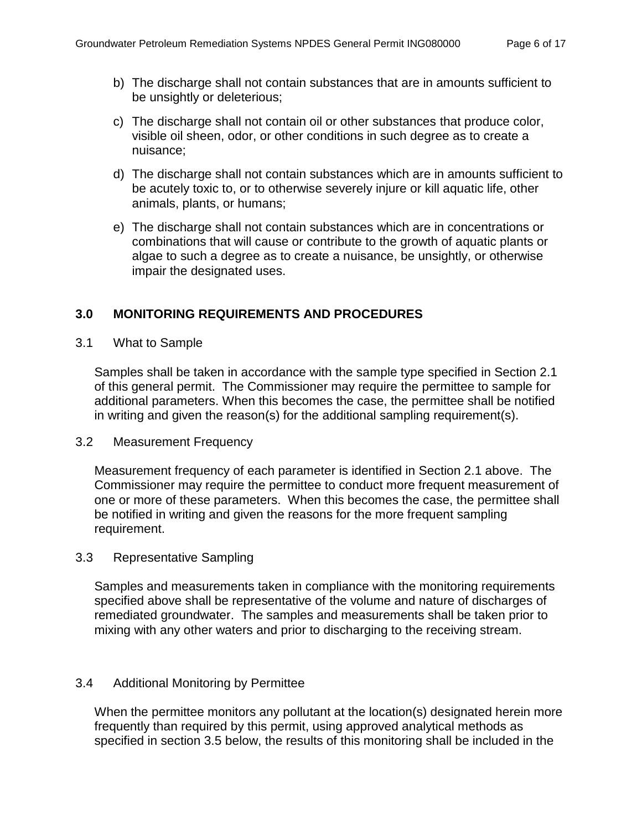- b) The discharge shall not contain substances that are in amounts sufficient to be unsightly or deleterious;
- c) The discharge shall not contain oil or other substances that produce color, visible oil sheen, odor, or other conditions in such degree as to create a nuisance;
- d) The discharge shall not contain substances which are in amounts sufficient to be acutely toxic to, or to otherwise severely injure or kill aquatic life, other animals, plants, or humans;
- e) The discharge shall not contain substances which are in concentrations or combinations that will cause or contribute to the growth of aquatic plants or algae to such a degree as to create a nuisance, be unsightly, or otherwise impair the designated uses.

# <span id="page-5-0"></span>**3.0 MONITORING REQUIREMENTS AND PROCEDURES**

<span id="page-5-1"></span>3.1 What to Sample

Samples shall be taken in accordance with the sample type specified in Section 2.1 of this general permit. The Commissioner may require the permittee to sample for additional parameters. When this becomes the case, the permittee shall be notified in writing and given the reason(s) for the additional sampling requirement(s).

#### <span id="page-5-2"></span>3.2 Measurement Frequency

Measurement frequency of each parameter is identified in Section 2.1 above. The Commissioner may require the permittee to conduct more frequent measurement of one or more of these parameters. When this becomes the case, the permittee shall be notified in writing and given the reasons for the more frequent sampling requirement.

# <span id="page-5-3"></span>3.3 Representative Sampling

Samples and measurements taken in compliance with the monitoring requirements specified above shall be representative of the volume and nature of discharges of remediated groundwater. The samples and measurements shall be taken prior to mixing with any other waters and prior to discharging to the receiving stream.

# <span id="page-5-4"></span>3.4 Additional Monitoring by Permittee

When the permittee monitors any pollutant at the location(s) designated herein more frequently than required by this permit, using approved analytical methods as specified in section 3.5 below, the results of this monitoring shall be included in the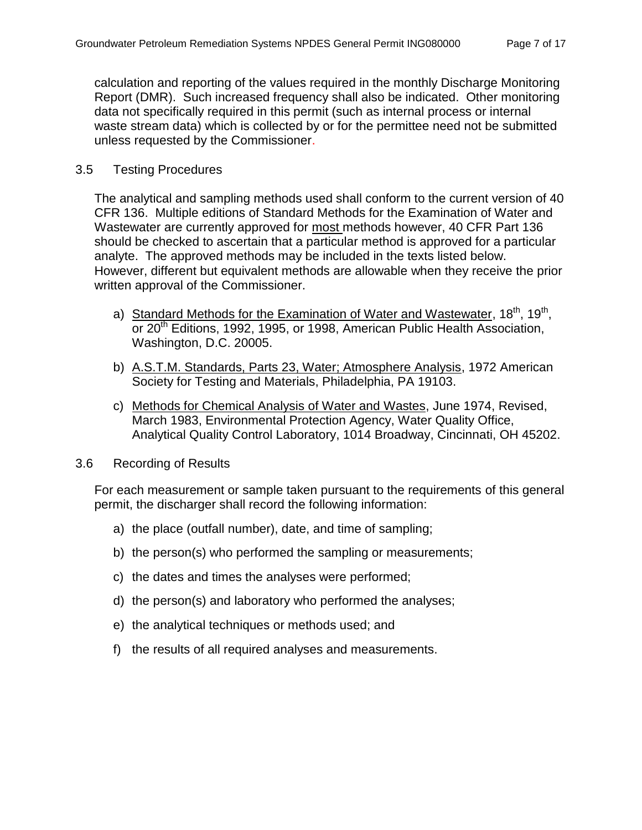calculation and reporting of the values required in the monthly Discharge Monitoring Report (DMR). Such increased frequency shall also be indicated. Other monitoring data not specifically required in this permit (such as internal process or internal waste stream data) which is collected by or for the permittee need not be submitted unless requested by the Commissioner.

#### <span id="page-6-0"></span>3.5 Testing Procedures

The analytical and sampling methods used shall conform to the current version of 40 CFR 136. Multiple editions of Standard Methods for the Examination of Water and Wastewater are currently approved for most methods however, 40 CFR Part 136 should be checked to ascertain that a particular method is approved for a particular analyte. The approved methods may be included in the texts listed below. However, different but equivalent methods are allowable when they receive the prior written approval of the Commissioner.

- a) Standard Methods for the Examination of Water and Wastewater, 18<sup>th</sup>, 19<sup>th</sup>, or 20<sup>th</sup> Editions, 1992, 1995, or 1998, American Public Health Association, Washington, D.C. 20005.
- b) A.S.T.M. Standards, Parts 23, Water; Atmosphere Analysis, 1972 American Society for Testing and Materials, Philadelphia, PA 19103.
- c) Methods for Chemical Analysis of Water and Wastes, June 1974, Revised, March 1983, Environmental Protection Agency, Water Quality Office, Analytical Quality Control Laboratory, 1014 Broadway, Cincinnati, OH 45202.

#### <span id="page-6-1"></span>3.6 Recording of Results

For each measurement or sample taken pursuant to the requirements of this general permit, the discharger shall record the following information:

- a) the place (outfall number), date, and time of sampling;
- b) the person(s) who performed the sampling or measurements;
- c) the dates and times the analyses were performed;
- d) the person(s) and laboratory who performed the analyses;
- e) the analytical techniques or methods used; and
- <span id="page-6-2"></span>f) the results of all required analyses and measurements.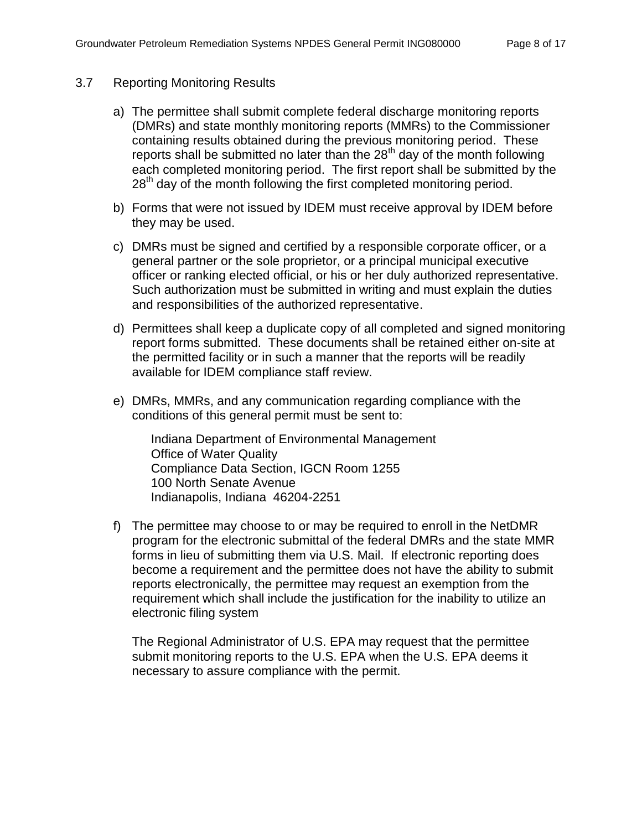#### 3.7 Reporting Monitoring Results

- a) The permittee shall submit complete federal discharge monitoring reports (DMRs) and state monthly monitoring reports (MMRs) to the Commissioner containing results obtained during the previous monitoring period. These reports shall be submitted no later than the  $28<sup>th</sup>$  day of the month following each completed monitoring period. The first report shall be submitted by the 28<sup>th</sup> day of the month following the first completed monitoring period.
- b) Forms that were not issued by IDEM must receive approval by IDEM before they may be used.
- c) DMRs must be signed and certified by a responsible corporate officer, or a general partner or the sole proprietor, or a principal municipal executive officer or ranking elected official, or his or her duly authorized representative. Such authorization must be submitted in writing and must explain the duties and responsibilities of the authorized representative.
- d) Permittees shall keep a duplicate copy of all completed and signed monitoring report forms submitted. These documents shall be retained either on-site at the permitted facility or in such a manner that the reports will be readily available for IDEM compliance staff review.
- e) DMRs, MMRs, and any communication regarding compliance with the conditions of this general permit must be sent to:

Indiana Department of Environmental Management Office of Water Quality Compliance Data Section, IGCN Room 1255 100 North Senate Avenue Indianapolis, Indiana 46204-2251

f) The permittee may choose to or may be required to enroll in the NetDMR program for the electronic submittal of the federal DMRs and the state MMR forms in lieu of submitting them via U.S. Mail. If electronic reporting does become a requirement and the permittee does not have the ability to submit reports electronically, the permittee may request an exemption from the requirement which shall include the justification for the inability to utilize an electronic filing system

The Regional Administrator of U.S. EPA may request that the permittee submit monitoring reports to the U.S. EPA when the U.S. EPA deems it necessary to assure compliance with the permit.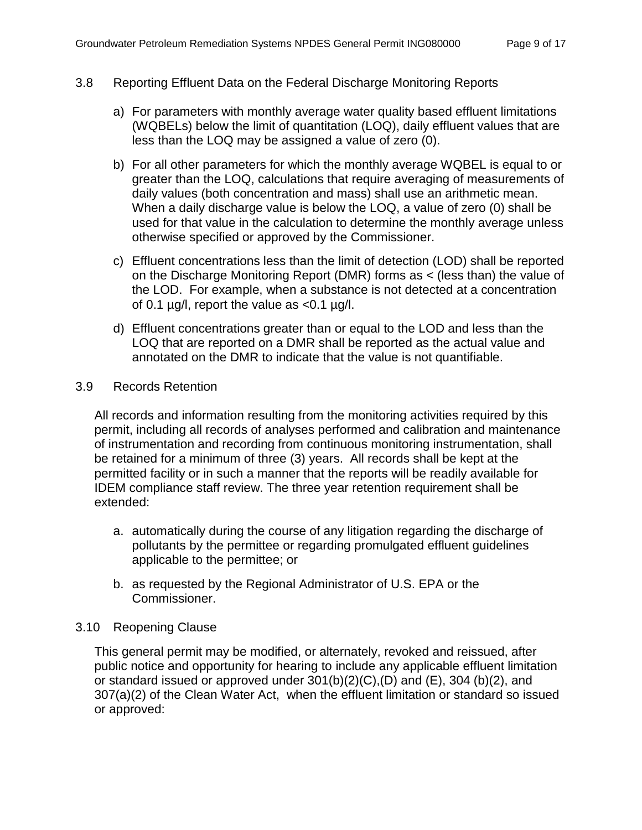## <span id="page-8-0"></span>3.8 Reporting Effluent Data on the Federal Discharge Monitoring Reports

- a) For parameters with monthly average water quality based effluent limitations (WQBELs) below the limit of quantitation (LOQ), daily effluent values that are less than the LOQ may be assigned a value of zero (0).
- b) For all other parameters for which the monthly average WQBEL is equal to or greater than the LOQ, calculations that require averaging of measurements of daily values (both concentration and mass) shall use an arithmetic mean. When a daily discharge value is below the LOQ, a value of zero (0) shall be used for that value in the calculation to determine the monthly average unless otherwise specified or approved by the Commissioner.
- c) Effluent concentrations less than the limit of detection (LOD) shall be reported on the Discharge Monitoring Report (DMR) forms as < (less than) the value of the LOD. For example, when a substance is not detected at a concentration of 0.1  $\mu$ g/l, report the value as <0.1  $\mu$ g/l.
- d) Effluent concentrations greater than or equal to the LOD and less than the LOQ that are reported on a DMR shall be reported as the actual value and annotated on the DMR to indicate that the value is not quantifiable.

#### <span id="page-8-1"></span>3.9 Records Retention

All records and information resulting from the monitoring activities required by this permit, including all records of analyses performed and calibration and maintenance of instrumentation and recording from continuous monitoring instrumentation, shall be retained for a minimum of three (3) years. All records shall be kept at the permitted facility or in such a manner that the reports will be readily available for IDEM compliance staff review. The three year retention requirement shall be extended:

- a. automatically during the course of any litigation regarding the discharge of pollutants by the permittee or regarding promulgated effluent guidelines applicable to the permittee; or
- b. as requested by the Regional Administrator of U.S. EPA or the Commissioner.

# <span id="page-8-2"></span>3.10 Reopening Clause

This general permit may be modified, or alternately, revoked and reissued, after public notice and opportunity for hearing to include any applicable effluent limitation or standard issued or approved under 301(b)(2)(C),(D) and (E), 304 (b)(2), and 307(a)(2) of the Clean Water Act, when the effluent limitation or standard so issued or approved: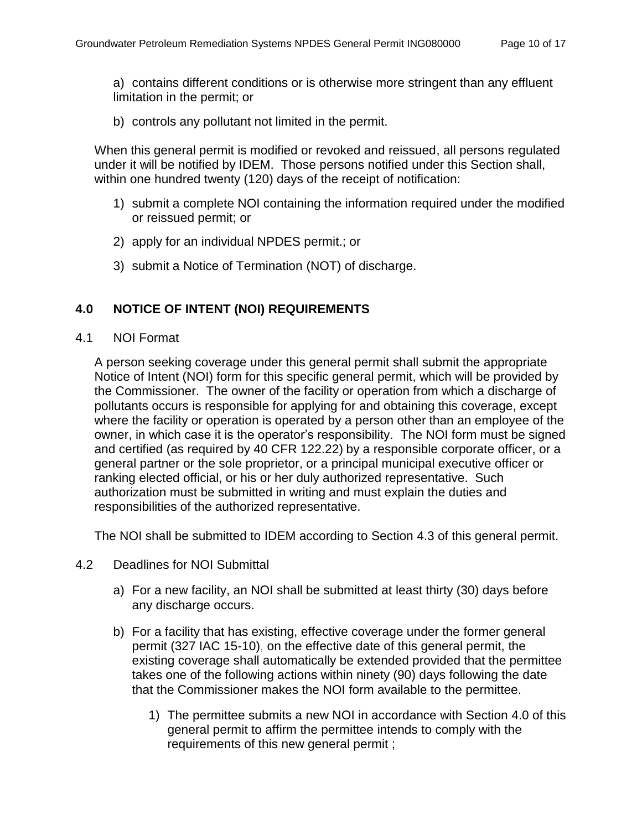a) contains different conditions or is otherwise more stringent than any effluent limitation in the permit; or

b) controls any pollutant not limited in the permit.

When this general permit is modified or revoked and reissued, all persons regulated under it will be notified by IDEM. Those persons notified under this Section shall, within one hundred twenty (120) days of the receipt of notification:

- 1) submit a complete NOI containing the information required under the modified or reissued permit; or
- 2) apply for an individual NPDES permit.; or
- 3) submit a Notice of Termination (NOT) of discharge.

# <span id="page-9-0"></span>**4.0 NOTICE OF INTENT (NOI) REQUIREMENTS**

<span id="page-9-1"></span>4.1 NOI Format

A person seeking coverage under this general permit shall submit the appropriate Notice of Intent (NOI) form for this specific general permit, which will be provided by the Commissioner. The owner of the facility or operation from which a discharge of pollutants occurs is responsible for applying for and obtaining this coverage, except where the facility or operation is operated by a person other than an employee of the owner, in which case it is the operator's responsibility. The NOI form must be signed and certified (as required by 40 CFR 122.22) by a responsible corporate officer, or a general partner or the sole proprietor, or a principal municipal executive officer or ranking elected official, or his or her duly authorized representative. Such authorization must be submitted in writing and must explain the duties and responsibilities of the authorized representative.

The NOI shall be submitted to IDEM according to Section 4.3 of this general permit.

- <span id="page-9-2"></span>4.2 Deadlines for NOI Submittal
	- a) For a new facility, an NOI shall be submitted at least thirty (30) days before any discharge occurs.
	- b) For a facility that has existing, effective coverage under the former general permit (327 IAC 15-10), on the effective date of this general permit, the existing coverage shall automatically be extended provided that the permittee takes one of the following actions within ninety (90) days following the date that the Commissioner makes the NOI form available to the permittee.
		- 1) The permittee submits a new NOI in accordance with Section 4.0 of this general permit to affirm the permittee intends to comply with the requirements of this new general permit ;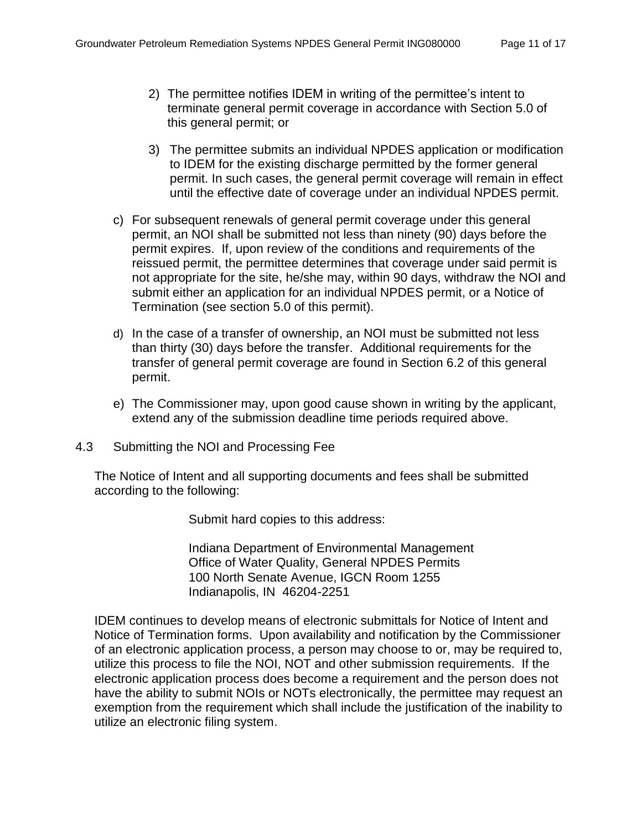- 2) The permittee notifies IDEM in writing of the permittee's intent to terminate general permit coverage in accordance with Section 5.0 of this general permit; or
- 3) The permittee submits an individual NPDES application or modification to IDEM for the existing discharge permitted by the former general permit. In such cases, the general permit coverage will remain in effect until the effective date of coverage under an individual NPDES permit.
- c) For subsequent renewals of general permit coverage under this general permit, an NOI shall be submitted not less than ninety (90) days before the permit expires. If, upon review of the conditions and requirements of the reissued permit, the permittee determines that coverage under said permit is not appropriate for the site, he/she may, within 90 days, withdraw the NOI and submit either an application for an individual NPDES permit, or a Notice of Termination (see section 5.0 of this permit).
- d) In the case of a transfer of ownership, an NOI must be submitted not less than thirty (30) days before the transfer. Additional requirements for the transfer of general permit coverage are found in Section 6.2 of this general permit.
- e) The Commissioner may, upon good cause shown in writing by the applicant, extend any of the submission deadline time periods required above.
- <span id="page-10-0"></span>4.3 Submitting the NOI and Processing Fee

The Notice of Intent and all supporting documents and fees shall be submitted according to the following:

Submit hard copies to this address:

Indiana Department of Environmental Management Office of Water Quality, General NPDES Permits 100 North Senate Avenue, IGCN Room 1255 Indianapolis, IN 46204-2251

IDEM continues to develop means of electronic submittals for Notice of Intent and Notice of Termination forms. Upon availability and notification by the Commissioner of an electronic application process, a person may choose to or, may be required to, utilize this process to file the NOI, NOT and other submission requirements. If the electronic application process does become a requirement and the person does not have the ability to submit NOIs or NOTs electronically, the permittee may request an exemption from the requirement which shall include the justification of the inability to utilize an electronic filing system.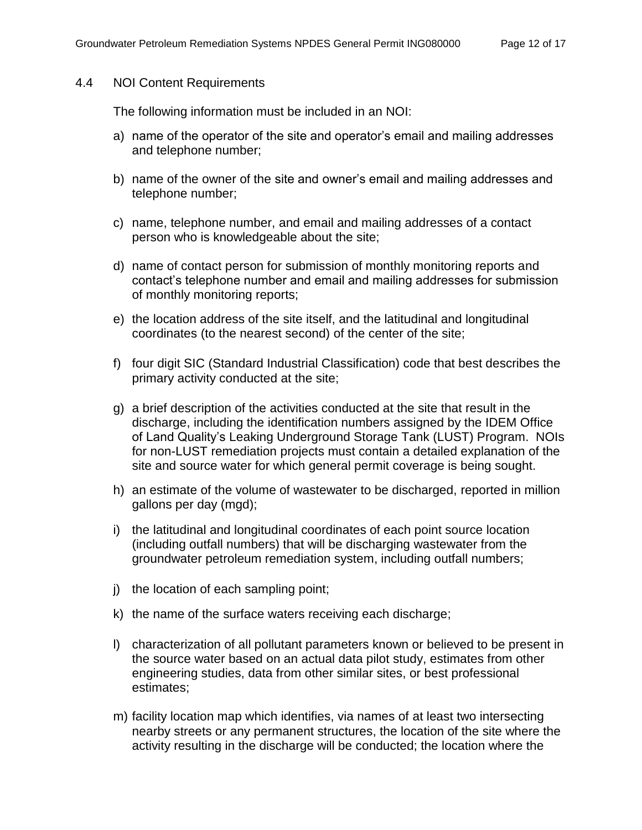#### <span id="page-11-0"></span>4.4 NOI Content Requirements

The following information must be included in an NOI:

- a) name of the operator of the site and operator's email and mailing addresses and telephone number;
- b) name of the owner of the site and owner's email and mailing addresses and telephone number;
- c) name, telephone number, and email and mailing addresses of a contact person who is knowledgeable about the site;
- d) name of contact person for submission of monthly monitoring reports and contact's telephone number and email and mailing addresses for submission of monthly monitoring reports;
- e) the location address of the site itself, and the latitudinal and longitudinal coordinates (to the nearest second) of the center of the site;
- f) four digit SIC (Standard Industrial Classification) code that best describes the primary activity conducted at the site;
- g) a brief description of the activities conducted at the site that result in the discharge, including the identification numbers assigned by the IDEM Office of Land Quality's Leaking Underground Storage Tank (LUST) Program. NOIs for non-LUST remediation projects must contain a detailed explanation of the site and source water for which general permit coverage is being sought.
- h) an estimate of the volume of wastewater to be discharged, reported in million gallons per day (mgd);
- i) the latitudinal and longitudinal coordinates of each point source location (including outfall numbers) that will be discharging wastewater from the groundwater petroleum remediation system, including outfall numbers;
- j) the location of each sampling point;
- k) the name of the surface waters receiving each discharge;
- l) characterization of all pollutant parameters known or believed to be present in the source water based on an actual data pilot study, estimates from other engineering studies, data from other similar sites, or best professional estimates;
- m) facility location map which identifies, via names of at least two intersecting nearby streets or any permanent structures, the location of the site where the activity resulting in the discharge will be conducted; the location where the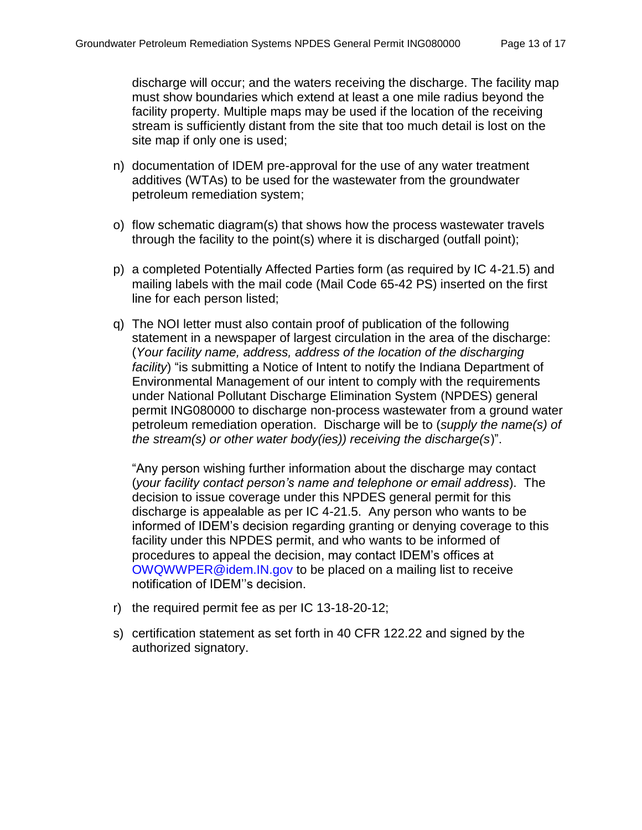discharge will occur; and the waters receiving the discharge. The facility map must show boundaries which extend at least a one mile radius beyond the facility property. Multiple maps may be used if the location of the receiving stream is sufficiently distant from the site that too much detail is lost on the site map if only one is used;

- n) documentation of IDEM pre-approval for the use of any water treatment additives (WTAs) to be used for the wastewater from the groundwater petroleum remediation system;
- o) flow schematic diagram(s) that shows how the process wastewater travels through the facility to the point(s) where it is discharged (outfall point);
- p) a completed Potentially Affected Parties form (as required by IC 4-21.5) and mailing labels with the mail code (Mail Code 65-42 PS) inserted on the first line for each person listed;
- q) The NOI letter must also contain proof of publication of the following statement in a newspaper of largest circulation in the area of the discharge: (*Your facility name, address, address of the location of the discharging facility*) "is submitting a Notice of Intent to notify the Indiana Department of Environmental Management of our intent to comply with the requirements under National Pollutant Discharge Elimination System (NPDES) general permit ING080000 to discharge non-process wastewater from a ground water petroleum remediation operation. Discharge will be to (*supply the name(s) of the stream(s) or other water body(ies)) receiving the discharge(s*)".

"Any person wishing further information about the discharge may contact (*your facility contact person's name and telephone or email address*). The decision to issue coverage under this NPDES general permit for this discharge is appealable as per IC 4-21.5. Any person who wants to be informed of IDEM's decision regarding granting or denying coverage to this facility under this NPDES permit, and who wants to be informed of procedures to appeal the decision, may contact IDEM's offices at [OWQWWPER@idem.IN.gov](mailto:OWQWWPER@idem.IN.gov) to be placed on a mailing list to receive notification of IDEM''s decision.

- r) the required permit fee as per IC 13-18-20-12;
- s) certification statement as set forth in 40 CFR 122.22 and signed by the authorized signatory.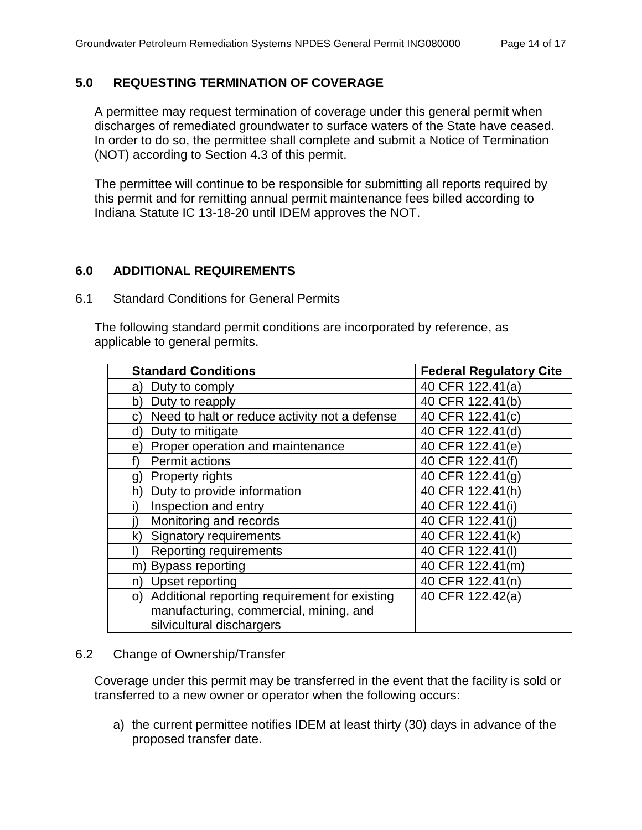# <span id="page-13-0"></span>**5.0 REQUESTING TERMINATION OF COVERAGE**

A permittee may request termination of coverage under this general permit when discharges of remediated groundwater to surface waters of the State have ceased. In order to do so, the permittee shall complete and submit a Notice of Termination (NOT) according to Section 4.3 of this permit.

The permittee will continue to be responsible for submitting all reports required by this permit and for remitting annual permit maintenance fees billed according to Indiana Statute IC 13-18-20 until IDEM approves the NOT.

# <span id="page-13-1"></span>**6.0 ADDITIONAL REQUIREMENTS**

<span id="page-13-2"></span>6.1 Standard Conditions for General Permits

The following standard permit conditions are incorporated by reference, as applicable to general permits.

| <b>Standard Conditions</b>                          | <b>Federal Regulatory Cite</b> |
|-----------------------------------------------------|--------------------------------|
| Duty to comply<br>a)                                | 40 CFR 122.41(a)               |
| Duty to reapply<br>b)                               | 40 CFR 122.41(b)               |
| Need to halt or reduce activity not a defense<br>C) | 40 CFR 122.41(c)               |
| Duty to mitigate<br>d)                              | 40 CFR 122.41(d)               |
| Proper operation and maintenance<br>e)              | 40 CFR 122.41(e)               |
| Permit actions                                      | 40 CFR 122.41(f)               |
| <b>Property rights</b><br>g)                        | 40 CFR 122.41(g)               |
| Duty to provide information<br>h)                   | 40 CFR 122.41(h)               |
| Inspection and entry                                | 40 CFR 122.41(i)               |
| Monitoring and records                              | 40 CFR 122.41(i)               |
| <b>Signatory requirements</b><br>k)                 | 40 CFR 122.41(k)               |
| <b>Reporting requirements</b>                       | 40 CFR 122.41(I)               |
| Bypass reporting<br>m)                              | 40 CFR 122.41(m)               |
| Upset reporting<br>n)                               | 40 CFR 122.41(n)               |
| Additional reporting requirement for existing<br>O) | 40 CFR 122.42(a)               |
| manufacturing, commercial, mining, and              |                                |
| silvicultural dischargers                           |                                |

#### <span id="page-13-3"></span>6.2 Change of Ownership/Transfer

Coverage under this permit may be transferred in the event that the facility is sold or transferred to a new owner or operator when the following occurs:

a) the current permittee notifies IDEM at least thirty (30) days in advance of the proposed transfer date.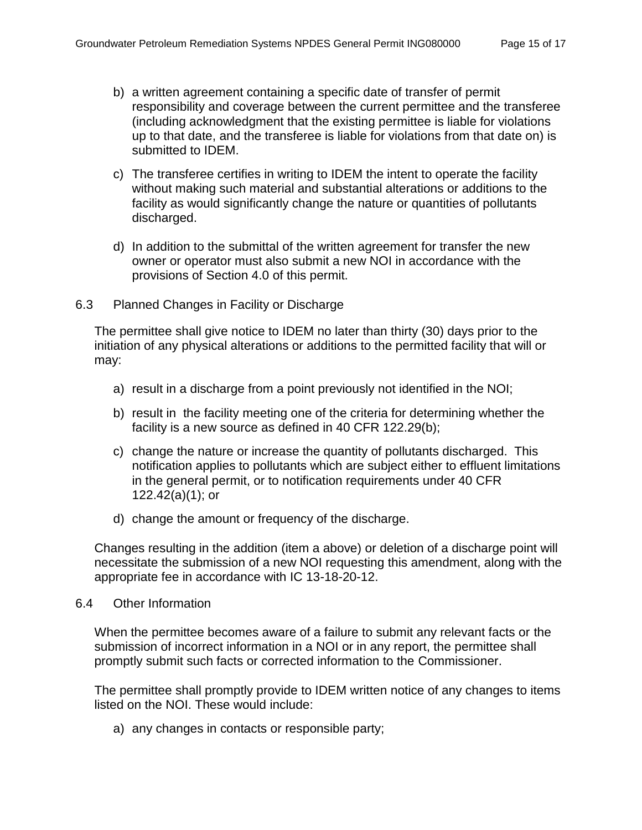- b) a written agreement containing a specific date of transfer of permit responsibility and coverage between the current permittee and the transferee (including acknowledgment that the existing permittee is liable for violations up to that date, and the transferee is liable for violations from that date on) is submitted to IDEM.
- c) The transferee certifies in writing to IDEM the intent to operate the facility without making such material and substantial alterations or additions to the facility as would significantly change the nature or quantities of pollutants discharged.
- d) In addition to the submittal of the written agreement for transfer the new owner or operator must also submit a new NOI in accordance with the provisions of Section 4.0 of this permit.
- <span id="page-14-0"></span>6.3 Planned Changes in Facility or Discharge

The permittee shall give notice to IDEM no later than thirty (30) days prior to the initiation of any physical alterations or additions to the permitted facility that will or may:

- a) result in a discharge from a point previously not identified in the NOI;
- b) result in the facility meeting one of the criteria for determining whether the facility is a new source as defined in 40 CFR 122.29(b);
- c) change the nature or increase the quantity of pollutants discharged. This notification applies to pollutants which are subject either to effluent limitations in the general permit, or to notification requirements under 40 CFR 122.42(a)(1); or
- d) change the amount or frequency of the discharge.

Changes resulting in the addition (item a above) or deletion of a discharge point will necessitate the submission of a new NOI requesting this amendment, along with the appropriate fee in accordance with IC 13-18-20-12.

#### <span id="page-14-1"></span>6.4 Other Information

When the permittee becomes aware of a failure to submit any relevant facts or the submission of incorrect information in a NOI or in any report, the permittee shall promptly submit such facts or corrected information to the Commissioner.

The permittee shall promptly provide to IDEM written notice of any changes to items listed on the NOI. These would include:

a) any changes in contacts or responsible party;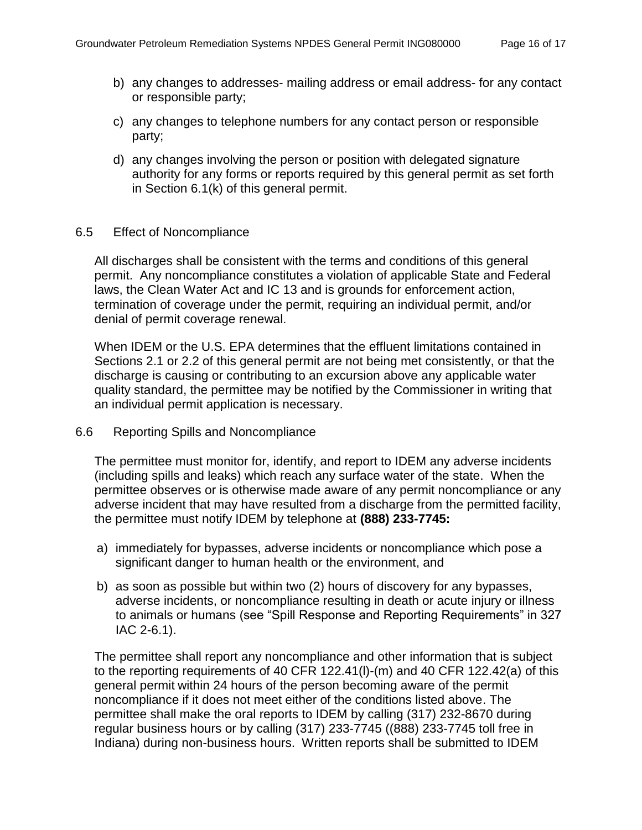- b) any changes to addresses- mailing address or email address- for any contact or responsible party;
- c) any changes to telephone numbers for any contact person or responsible party;
- d) any changes involving the person or position with delegated signature authority for any forms or reports required by this general permit as set forth in Section 6.1(k) of this general permit.

#### <span id="page-15-0"></span>6.5 Effect of Noncompliance

All discharges shall be consistent with the terms and conditions of this general permit. Any noncompliance constitutes a violation of applicable State and Federal laws, the Clean Water Act and IC 13 and is grounds for enforcement action, termination of coverage under the permit, requiring an individual permit, and/or denial of permit coverage renewal.

When IDEM or the U.S. EPA determines that the effluent limitations contained in Sections 2.1 or 2.2 of this general permit are not being met consistently, or that the discharge is causing or contributing to an excursion above any applicable water quality standard, the permittee may be notified by the Commissioner in writing that an individual permit application is necessary.

# <span id="page-15-1"></span>6.6 Reporting Spills and Noncompliance

The permittee must monitor for, identify, and report to IDEM any adverse incidents (including spills and leaks) which reach any surface water of the state. When the permittee observes or is otherwise made aware of any permit noncompliance or any adverse incident that may have resulted from a discharge from the permitted facility, the permittee must notify IDEM by telephone at **(888) 233-7745:**

- a) immediately for bypasses, adverse incidents or noncompliance which pose a significant danger to human health or the environment, and
- b) as soon as possible but within two (2) hours of discovery for any bypasses, adverse incidents, or noncompliance resulting in death or acute injury or illness to animals or humans (see "Spill Response and Reporting Requirements" in 327 IAC 2-6.1).

The permittee shall report any noncompliance and other information that is subject to the reporting requirements of 40 CFR 122.41(l)-(m) and 40 CFR 122.42(a) of this general permit within 24 hours of the person becoming aware of the permit noncompliance if it does not meet either of the conditions listed above. The permittee shall make the oral reports to IDEM by calling (317) 232-8670 during regular business hours or by calling (317) 233-7745 ((888) 233-7745 toll free in Indiana) during non-business hours. Written reports shall be submitted to IDEM